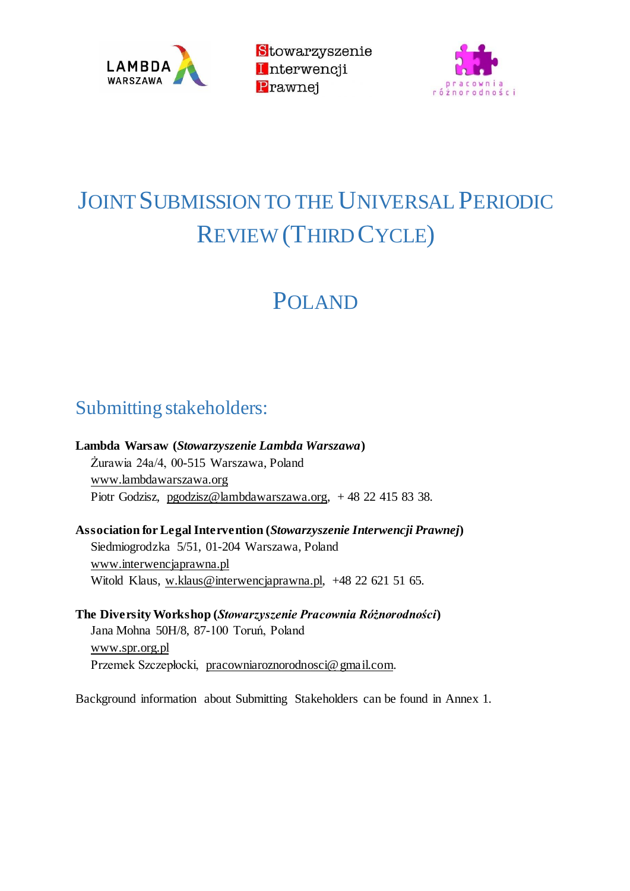

Stowarzyszenie Interwencji Prawnei



# JOINT SUBMISSION TO THE UNIVERSAL PERIODIC REVIEW (THIRD CYCLE)

# POLAND

# Submitting stakeholders:

**Lambda Warsaw (***Stowarzyszenie Lambda Warszawa***)**

Żurawia 24a/4, 00-515 Warszawa, Poland www.lambdawarszawa.org Piotr Godzisz, pgodzisz@lambdawarszawa.org, + 48 22 415 83 38.

**Association for Legal Intervention (***Stowarzyszenie Interwencji Prawnej***)** Siedmiogrodzka 5/51, 01-204 Warszawa, Poland www.interwencjaprawna.pl Witold Klaus, w.klaus@interwencjaprawna.pl, +48 22 621 51 65.

**The Diversity Workshop (***Stowarzyszenie Pracownia Różnorodności***)** Jana Mohna 50H/8, 87-100 Toruń, Poland www.spr.org.pl Przemek Szczepłocki, pracowniaroznorodnosci@gmail.com.

Background information about Submitting Stakeholders can be found in Annex 1.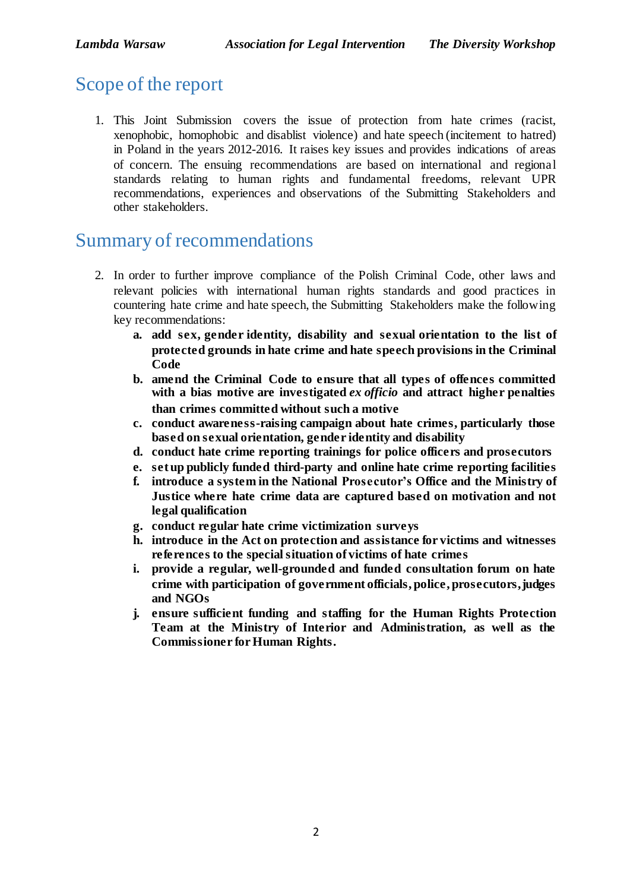# Scope of the report

1. This Joint Submission covers the issue of protection from hate crimes (racist, xenophobic, homophobic and disablist violence) and hate speech (incitement to hatred) in Poland in the years 2012-2016. It raises key issues and provides indications of areas of concern. The ensuing recommendations are based on international and regional standards relating to human rights and fundamental freedoms, relevant UPR recommendations, experiences and observations of the Submitting Stakeholders and other stakeholders.

## Summary of recommendations

- 2. In order to further improve compliance of the Polish Criminal Code, other laws and relevant policies with international human rights standards and good practices in countering hate crime and hate speech, the Submitting Stakeholders make the following key recommendations:
	- **a. add sex, gender identity, disability and sexual orientation to the list of protected grounds in hate crime and hate speech provisions in the Criminal Code**
	- **b. amend the Criminal Code to ensure that all types of offences committed with a bias motive are investigated** *ex officio* **and attract higher penalties than crimes committed without such a motive**
	- **c. conduct awareness-raising campaign about hate crimes, particularly those based on sexual orientation, gender identity and disability**
	- **d. conduct hate crime reporting trainings for police officers and prosecutors**
	- **e. setup publicly funded third-party and online hate crime reporting facilities**
	- **f. introduce a system in the National Prosecutor's Office and the Ministry of Justice where hate crime data are captured based on motivation and not legal qualification**
	- **g. conduct regular hate crime victimization surveys**
	- **h. introduce in the Act on protection and assistance for victims and witnesses references to the special situation of victims of hate crimes**
	- **i. provide a regular, well-grounded and funded consultation forum on hate crime with participation of government officials, police, prosecutors,judges and NGOs**
	- **j. ensure sufficient funding and staffing for the Human Rights Protection Team at the Ministry of Interior and Administration, as well as the Commissioner for Human Rights.**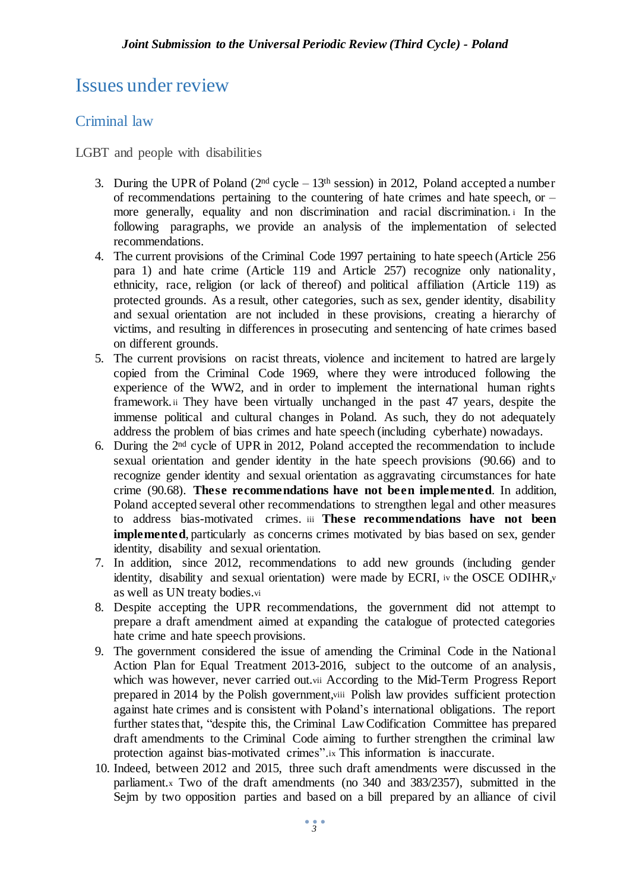# Issues under review

### Criminal law

LGBT and people with disabilities

- 3. During the UPR of Poland  $(2<sup>nd</sup> cycle 13<sup>th</sup> session)$  in 2012, Poland accepted a number of recommendations pertaining to the countering of hate crimes and hate speech, or – more generally, equality and non discrimination and racial discrimination. <sup>i</sup> In the following paragraphs, we provide an analysis of the implementation of selected recommendations.
- 4. The current provisions of the Criminal Code 1997 pertaining to hate speech (Article 256 para 1) and hate crime (Article 119 and Article 257) recognize only nationality, ethnicity, race, religion (or lack of thereof) and political affiliation (Article 119) as protected grounds. As a result, other categories, such as sex, gender identity, disability and sexual orientation are not included in these provisions, creating a hierarchy of victims, and resulting in differences in prosecuting and sentencing of hate crimes based on different grounds.
- 5. The current provisions on racist threats, violence and incitement to hatred are largely copied from the Criminal Code 1969, where they were introduced following the experience of the WW2, and in order to implement the international human rights framework.ii They have been virtually unchanged in the past 47 years, despite the immense political and cultural changes in Poland. As such, they do not adequately address the problem of bias crimes and hate speech (including cyberhate) nowadays.
- 6. During the 2 nd cycle of UPR in 2012, Poland accepted the recommendation to include sexual orientation and gender identity in the hate speech provisions (90.66) and to recognize gender identity and sexual orientation as aggravating circumstances for hate crime (90.68). **These recommendations have not been implemented**. In addition, Poland accepted several other recommendations to strengthen legal and other measures to address bias-motivated crimes. iii **These recommendations have not been implemented**, particularly as concerns crimes motivated by bias based on sex, gender identity, disability and sexual orientation.
- 7. In addition, since 2012, recommendations to add new grounds (including gender identity, disability and sexual orientation) were made by ECRI, iv the OSCE ODIHR, as well as UN treaty bodies.vi
- 8. Despite accepting the UPR recommendations, the government did not attempt to prepare a draft amendment aimed at expanding the catalogue of protected categories hate crime and hate speech provisions.
- 9. The government considered the issue of amending the Criminal Code in the National Action Plan for Equal Treatment 2013-2016, subject to the outcome of an analysis, which was however, never carried out.vii According to the Mid-Term Progress Report prepared in 2014 by the Polish government,viii Polish law provides sufficient protection against hate crimes and is consistent with Poland's international obligations. The report further states that, "despite this, the Criminal Law Codification Committee has prepared draft amendments to the Criminal Code aiming to further strengthen the criminal law protection against bias-motivated crimes".ix This information is inaccurate.
- 10. Indeed, between 2012 and 2015, three such draft amendments were discussed in the parliament.<sup>x</sup> Two of the draft amendments (no 340 and 383/2357), submitted in the Sejm by two opposition parties and based on a bill prepared by an alliance of civil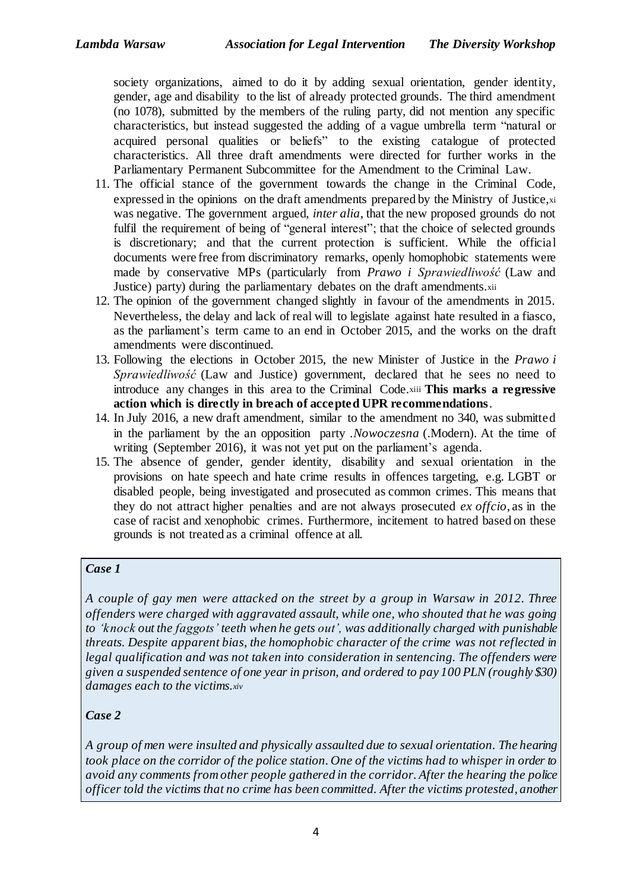society organizations, aimed to do it by adding sexual orientation, gender identity, gender, age and disability to the list of already protected grounds. The third amendment (no 1078), submitted by the members of the ruling party, did not mention any specific characteristics, but instead suggested the adding of a vague umbrella term "natural or acquired personal qualities or beliefs" to the existing catalogue of protected characteristics. All three draft amendments were directed for further works in the Parliamentary Permanent Subcommittee for the Amendment to the Criminal Law.

- 11. The official stance of the government towards the change in the Criminal Code, expressed in the opinions on the draft amendments prepared by the Ministry of Justice,xi was negative. The government argued, *inter alia*, that the new proposed grounds do not fulfil the requirement of being of "general interest"; that the choice of selected grounds is discretionary; and that the current protection is sufficient. While the official documents were free from discriminatory remarks, openly homophobic statements were made by conservative MPs (particularly from *Prawo i Sprawiedliwość* (Law and Justice) party) during the parliamentary debates on the draft amendments.xii
- 12. The opinion of the government changed slightly in favour of the amendments in 2015. Nevertheless, the delay and lack of real will to legislate against hate resulted in a fiasco, as the parliament's term came to an end in October 2015, and the works on the draft amendments were discontinued.
- 13. Following the elections in October 2015, the new Minister of Justice in the *Prawo i Sprawiedliwość* (Law and Justice) government, declared that he sees no need to introduce any changes in this area to the Criminal Code.xiii **This marks a regressive action which is directly in breach of accepted UPR recommendations**.
- 14. In July 2016, a new draft amendment, similar to the amendment no 340, was submitted in the parliament by the an opposition party *.Nowoczesna* (.Modern). At the time of writing (September 2016), it was not yet put on the parliament's agenda.
- 15. The absence of gender, gender identity, disability and sexual orientation in the provisions on hate speech and hate crime results in offences targeting, e.g. LGBT or disabled people, being investigated and prosecuted as common crimes. This means that they do not attract higher penalties and are not always prosecuted *ex offcio*, as in the case of racist and xenophobic crimes. Furthermore, incitement to hatred based on these grounds is not treated as a criminal offence at all.

### *Case 1*

*A couple of gay men were attacked on the street by a group in Warsaw in 2012. Three offenders were charged with aggravated assault, while one, who shouted that he was going to 'knock out the faggots' teeth when he gets out', was additionally charged with punishable threats. Despite apparent bias, the homophobic character of the crime was not reflected in legal qualification and was not taken into consideration in sentencing. The offenders were given a suspended sentence of one year in prison, and ordered to pay 100 PLN (roughly \$30) damages each to the victims.xiv*

### *Case 2*

*A group of men were insulted and physically assaulted due to sexual orientation. The hearing* took place on the corridor of the police station. One of the victims had to whisper in order to *avoid any comments from other people gathered in the corridor. After the hearing the police officer told the victims that no crime has been committed. After the victims protested, another*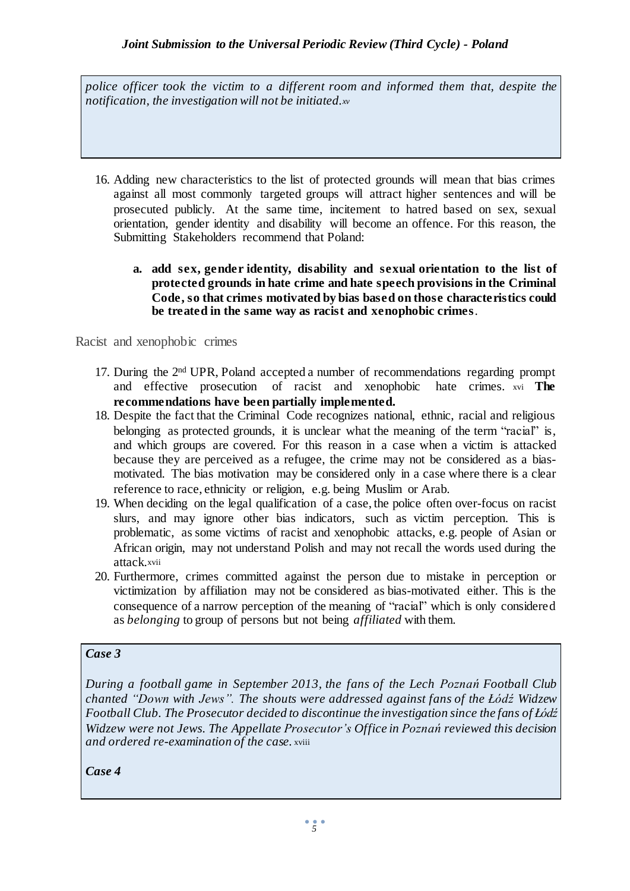*police officer took the victim to a different room and informed them that, despite the notification, the investigation will not be initiated.xv*

- 16. Adding new characteristics to the list of protected grounds will mean that bias crimes against all most commonly targeted groups will attract higher sentences and will be prosecuted publicly. At the same time, incitement to hatred based on sex, sexual orientation, gender identity and disability will become an offence. For this reason, the Submitting Stakeholders recommend that Poland:
	- **a. add sex, gender identity, disability and sexual orientation to the list of protected grounds in hate crime and hate speech provisions in the Criminal Code, so that crimes motivated by bias based on those characteristics could be treated in the same way as racist and xenophobic crimes**.

Racist and xenophobic crimes

- 17. During the 2<sup>nd</sup> UPR, Poland accepted a number of recommendations regarding prompt and effective prosecution of racist and xenophobic hate crimes. xvi **The recommendations have been partially implemented.**
- 18. Despite the fact that the Criminal Code recognizes national, ethnic, racial and religious belonging as protected grounds, it is unclear what the meaning of the term "racial" is, and which groups are covered. For this reason in a case when a victim is attacked because they are perceived as a refugee, the crime may not be considered as a biasmotivated. The bias motivation may be considered only in a case where there is a clear reference to race, ethnicity or religion, e.g. being Muslim or Arab.
- 19. When deciding on the legal qualification of a case, the police often over-focus on racist slurs, and may ignore other bias indicators, such as victim perception. This is problematic, as some victims of racist and xenophobic attacks, e.g. people of Asian or African origin, may not understand Polish and may not recall the words used during the attack.xvii
- 20. Furthermore, crimes committed against the person due to mistake in perception or victimization by affiliation may not be considered as bias-motivated either. This is the consequence of a narrow perception of the meaning of "racial" which is only considered as *belonging* to group of persons but not being *affiliated* with them.

#### *Case 3*

*During a football game in September 2013, the fans of the Lech Poznań Football Club chanted "Down with Jews". The shouts were addressed against fans of the Łódź Widzew Football Club. The Prosecutor decided to discontinue the investigation since the fans of Łódź Widzew were not Jews. The Appellate Prosecutor's Office in Poznań reviewed this decision and ordered re-examination of the case.* xviii

*Case 4*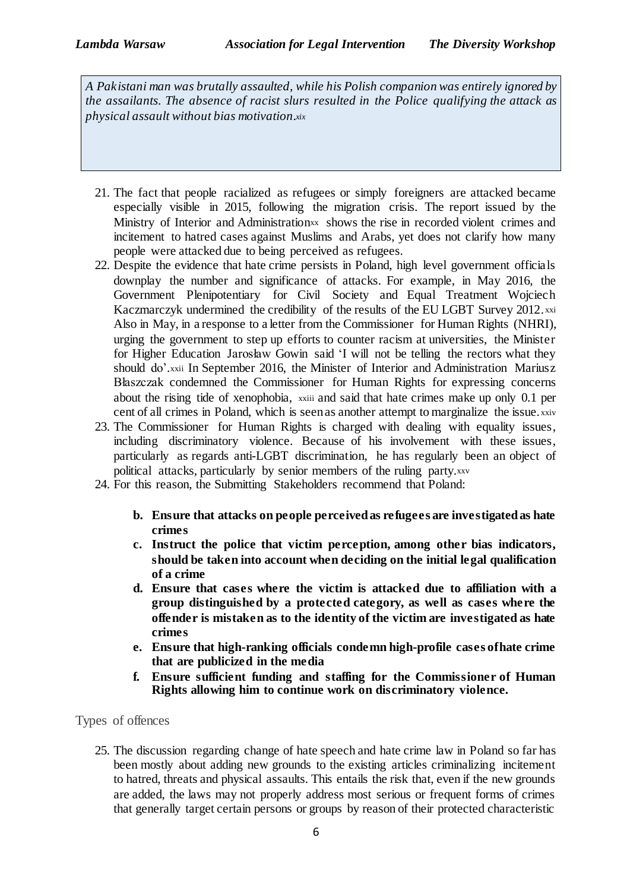*A Pakistani man was brutally assaulted, while his Polish companion was entirely ignored by the assailants. The absence of racist slurs resulted in the Police qualifying the attack as physical assault without bias motivation.xix*

- 21. The fact that people racialized as refugees or simply foreigners are attacked became especially visible in 2015, following the migration crisis. The report issued by the Ministry of Interior and Administrationxx shows the rise in recorded violent crimes and incitement to hatred cases against Muslims and Arabs, yet does not clarify how many people were attacked due to being perceived as refugees.
- 22. Despite the evidence that hate crime persists in Poland, high level government officials downplay the number and significance of attacks. For example, in May 2016, the Government Plenipotentiary for Civil Society and Equal Treatment Wojciech Kaczmarczyk undermined the credibility of the results of the EU LGBT Survey 2012. xxi Also in May, in a response to a letter from the Commissioner for Human Rights (NHRI), urging the government to step up efforts to counter racism at universities, the Minister for Higher Education Jarosław Gowin said 'I will not be telling the rectors what they should do', xxii In September 2016, the Minister of Interior and Administration Mariusz Błaszczak condemned the Commissioner for Human Rights for expressing concerns about the rising tide of xenophobia, xxiii and said that hate crimes make up only 0.1 per cent of all crimes in Poland, which is seen as another attempt to marginalize the issue, xxiv
- 23. The Commissioner for Human Rights is charged with dealing with equality issues, including discriminatory violence. Because of his involvement with these issues, particularly as regards anti-LGBT discrimination, he has regularly been an object of political attacks, particularly by senior members of the ruling party.xxv
- 24. For this reason, the Submitting Stakeholders recommend that Poland:
	- **b. Ensure that attacks on people perceivedas refugees are investigatedas hate crimes**
	- **c. Instruct the police that victim perception, among other bias indicators, should be taken into account when deciding on the initial legal qualification of a crime**
	- **d. Ensure that cases where the victim is attacked due to affiliation with a group distinguished by a protected category, as well as cases where the offender is mistaken as to the identity of the victim are investigated as hate crimes**
	- **e. Ensure that high-ranking officials condemn high-profile cases ofhate crime that are publicized in the media**
	- **f. Ensure sufficient funding and staffing for the Commissioner of Human Rights allowing him to continue work on discriminatory violence.**

Types of offences

25. The discussion regarding change of hate speech and hate crime law in Poland so far has been mostly about adding new grounds to the existing articles criminalizing incitement to hatred, threats and physical assaults. This entails the risk that, even if the new grounds are added, the laws may not properly address most serious or frequent forms of crimes that generally target certain persons or groups by reason of their protected characteristic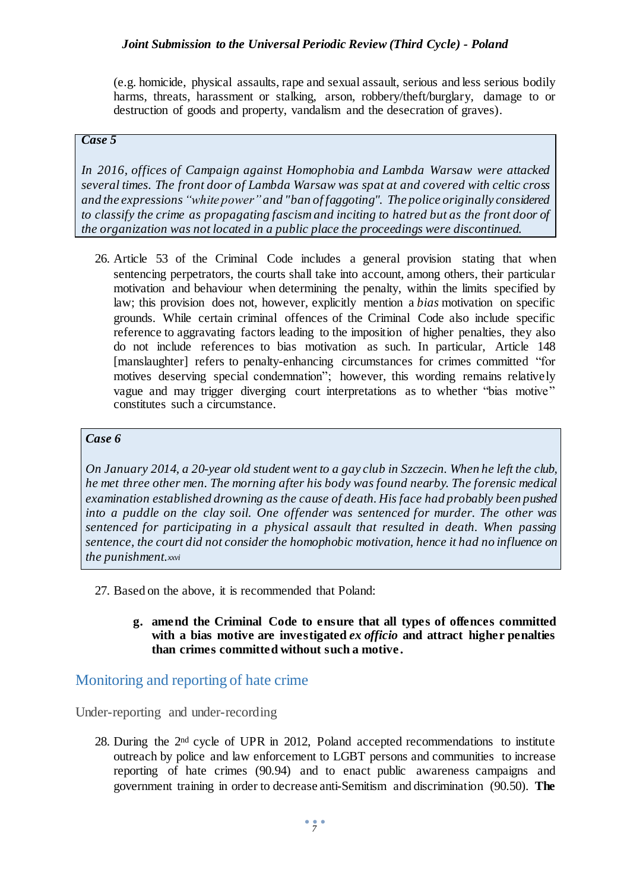(e.g. homicide, physical assaults, rape and sexual assault, serious and less serious bodily harms, threats, harassment or stalking, arson, robbery/theft/burglary, damage to or destruction of goods and property, vandalism and the desecration of graves).

#### *Case 5*

*In 2016, offices of Campaign against Homophobia and Lambda Warsaw were attacked several times. The front door of Lambda Warsaw was spat at and covered with celtic cross and the expressions "white power"and "ban of faggoting". The police originally considered to classify the crime as propagating fascism and inciting to hatred but as the front door of the organization was not located in a public place the proceedings were discontinued.*

26. Article 53 of the Criminal Code includes a general provision stating that when sentencing perpetrators, the courts shall take into account, among others, their particular motivation and behaviour when determining the penalty, within the limits specified by law; this provision does not, however, explicitly mention a *bias* motivation on specific grounds. While certain criminal offences of the Criminal Code also include specific reference to aggravating factors leading to the imposition of higher penalties, they also do not include references to bias motivation as such. In particular, Article 148 [manslaughter] refers to penalty-enhancing circumstances for crimes committed "for motives deserving special condemnation"; however, this wording remains relatively vague and may trigger diverging court interpretations as to whether "bias motive" constitutes such a circumstance.

#### *Case 6*

On January 2014, a 20-year old student went to a gay club in Szczecin. When he left the club, *he met three other men. The morning after his body was found nearby. The forensic medical examination established drowning as the cause of death. His face had probably been pushed into a puddle on the clay soil. One offender was sentenced for murder. The other was sentenced for participating in a physical assault that resulted in death. When passing sentence, the court did not consider the homophobic motivation, hence it had no influence on the punishment.xxvi*

- 27. Based on the above, it is recommended that Poland:
	- **g. amend the Criminal Code to ensure that all types of offences committed with a bias motive are investigated** *ex officio* **and attract higher penalties than crimes committed without such a motive .**

### Monitoring and reporting of hate crime

Under-reporting and under-recording

28. During the 2<sup>nd</sup> cycle of UPR in 2012, Poland accepted recommendations to institute outreach by police and law enforcement to LGBT persons and communities to increase reporting of hate crimes (90.94) and to enact public awareness campaigns and government training in order to decrease anti-Semitism and discrimination (90.50). **The**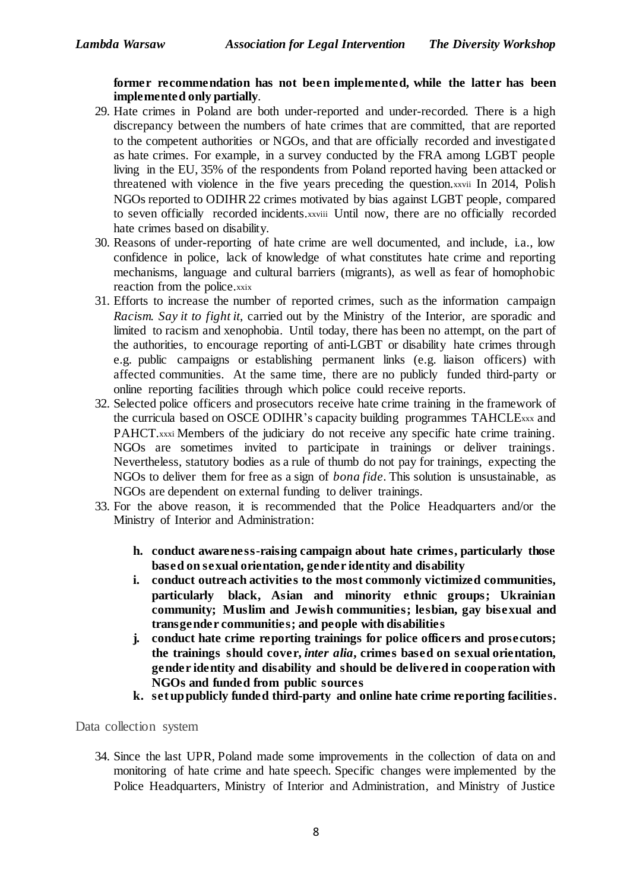**former recommendation has not been implemented, while the latter has been implemented only partially**.

- 29. Hate crimes in Poland are both under-reported and under-recorded. There is a high discrepancy between the numbers of hate crimes that are committed, that are reported to the competent authorities or NGOs, and that are officially recorded and investigated as hate crimes. For example, in a survey conducted by the FRA among LGBT people living in the EU, 35% of the respondents from Poland reported having been attacked or threatened with violence in the five years preceding the question.xxvii In 2014, Polish NGOs reported to ODIHR22 crimes motivated by bias against LGBT people, compared to seven officially recorded incidents.xxviii Until now, there are no officially recorded hate crimes based on disability.
- 30. Reasons of under-reporting of hate crime are well documented, and include, i.a., low confidence in police, lack of knowledge of what constitutes hate crime and reporting mechanisms, language and cultural barriers (migrants), as well as fear of homophobic reaction from the police.xxix
- 31. Efforts to increase the number of reported crimes, such as the information campaign *Racism. Say it to fight it*, carried out by the Ministry of the Interior, are sporadic and limited to racism and xenophobia. Until today, there has been no attempt, on the part of the authorities, to encourage reporting of anti-LGBT or disability hate crimes through e.g. public campaigns or establishing permanent links (e.g. liaison officers) with affected communities. At the same time, there are no publicly funded third-party or online reporting facilities through which police could receive reports.
- 32. Selected police officers and prosecutors receive hate crime training in the framework of the curricula based on OSCE ODIHR's capacity building programmes TAHCLExxx and PAHCT.xxxi Members of the judiciary do not receive any specific hate crime training. NGOs are sometimes invited to participate in trainings or deliver trainings. Nevertheless, statutory bodies as a rule of thumb do not pay for trainings, expecting the NGOs to deliver them for free as a sign of *bona fide*. This solution is unsustainable, as NGOs are dependent on external funding to deliver trainings.
- 33. For the above reason, it is recommended that the Police Headquarters and/or the Ministry of Interior and Administration:
	- **h. conduct awareness-raising campaign about hate crimes, particularly those based on sexual orientation, gender identity and disability**
	- **i. conduct outreach activities to the most commonly victimized communities, particularly black, Asian and minority ethnic groups; Ukrainian community; Muslim and Jewish communities; lesbian, gay bisexual and transgender communities; and people with disabilities**
	- **j. conduct hate crime reporting trainings for police officers and prosecutors; the trainings should cover,** *inter alia***, crimes based on sexual orientation, gender identity and disability and should be delivered in cooperation with NGOs and funded from public sources**
	- **k. setuppublicly funded third-party and online hate crime reporting facilities.**

Data collection system

34. Since the last UPR, Poland made some improvements in the collection of data on and monitoring of hate crime and hate speech. Specific changes were implemented by the Police Headquarters, Ministry of Interior and Administration, and Ministry of Justice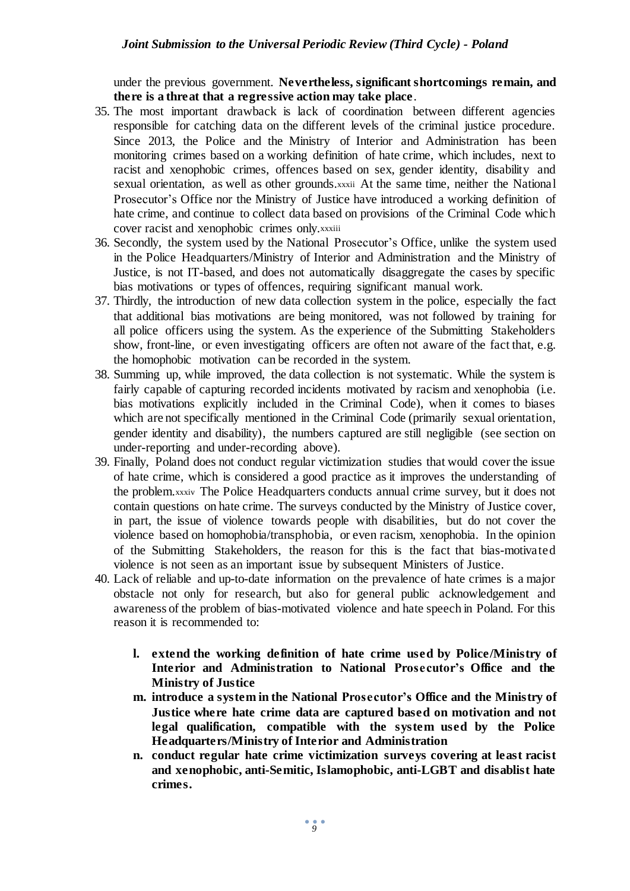under the previous government. **Nevertheless, significant shortcomings remain, and there is a threat that a regressive action may take place**.

- 35. The most important drawback is lack of coordination between different agencies responsible for catching data on the different levels of the criminal justice procedure. Since 2013, the Police and the Ministry of Interior and Administration has been monitoring crimes based on a working definition of hate crime, which includes, next to racist and xenophobic crimes, offences based on sex, gender identity, disability and sexual orientation, as well as other grounds.xxxii At the same time, neither the National Prosecutor's Office nor the Ministry of Justice have introduced a working definition of hate crime, and continue to collect data based on provisions of the Criminal Code which cover racist and xenophobic crimes only.xxxiii
- 36. Secondly, the system used by the National Prosecutor's Office, unlike the system used in the Police Headquarters/Ministry of Interior and Administration and the Ministry of Justice, is not IT-based, and does not automatically disaggregate the cases by specific bias motivations or types of offences, requiring significant manual work.
- 37. Thirdly, the introduction of new data collection system in the police, especially the fact that additional bias motivations are being monitored, was not followed by training for all police officers using the system. As the experience of the Submitting Stakeholders show, front-line, or even investigating officers are often not aware of the fact that, e.g. the homophobic motivation can be recorded in the system.
- 38. Summing up, while improved, the data collection is not systematic. While the system is fairly capable of capturing recorded incidents motivated by racism and xenophobia (i.e. bias motivations explicitly included in the Criminal Code), when it comes to biases which are not specifically mentioned in the Criminal Code (primarily sexual orientation, gender identity and disability), the numbers captured are still negligible (see section on under-reporting and under-recording above).
- 39. Finally, Poland does not conduct regular victimization studies that would cover the issue of hate crime, which is considered a good practice as it improves the understanding of the problem.xxxiv The Police Headquarters conducts annual crime survey, but it does not contain questions on hate crime. The surveys conducted by the Ministry of Justice cover, in part, the issue of violence towards people with disabilities, but do not cover the violence based on homophobia/transphobia, or even racism, xenophobia. In the opinion of the Submitting Stakeholders, the reason for this is the fact that bias-motivated violence is not seen as an important issue by subsequent Ministers of Justice.
- 40. Lack of reliable and up-to-date information on the prevalence of hate crimes is a major obstacle not only for research, but also for general public acknowledgement and awareness of the problem of bias-motivated violence and hate speech in Poland. For this reason it is recommended to:
	- **l. extend the working definition of hate crime used by Police/Ministry of Interior and Administration to National Prosecutor's Office and the Ministry of Justice**
	- **m. introduce a system in the National Prosecutor's Office and the Ministry of Justice where hate crime data are captured based on motivation and not legal qualification, compatible with the system used by the Police Headquarters/Ministry of Interior and Administration**
	- **n. conduct regular hate crime victimization surveys covering at least racist and xenophobic, anti-Semitic, Islamophobic, anti-LGBT and disablist hate crimes.**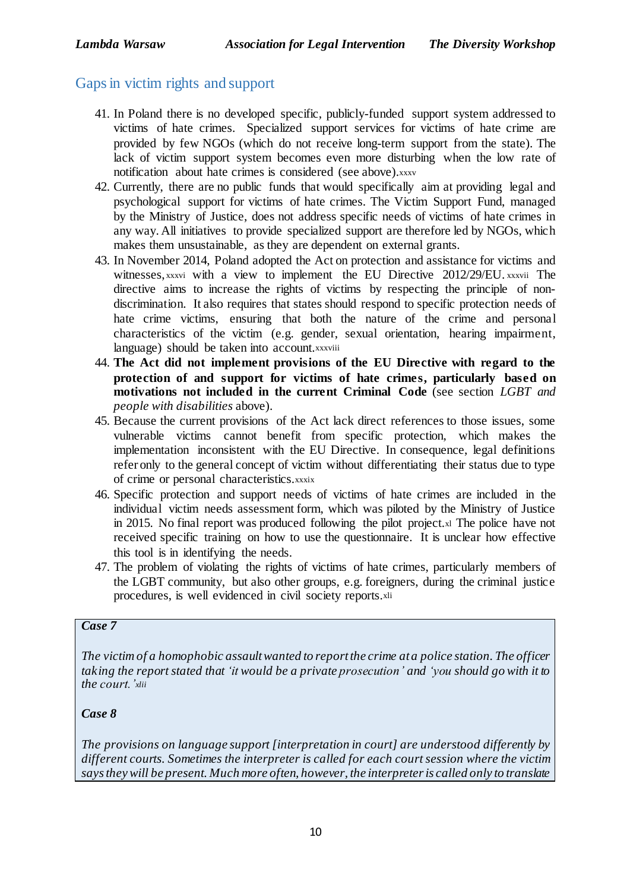## Gaps in victim rights and support

- 41. In Poland there is no developed specific, publicly-funded support system addressed to victims of hate crimes. Specialized support services for victims of hate crime are provided by few NGOs (which do not receive long-term support from the state). The lack of victim support system becomes even more disturbing when the low rate of notification about hate crimes is considered (see above).xxxv
- 42. Currently, there are no public funds that would specifically aim at providing legal and psychological support for victims of hate crimes. The Victim Support Fund, managed by the Ministry of Justice, does not address specific needs of victims of hate crimes in any way. All initiatives to provide specialized support are therefore led by NGOs, which makes them unsustainable, as they are dependent on external grants.
- 43. In November 2014, Poland adopted the Act on protection and assistance for victims and witnesses, xxxvi with a view to implement the EU Directive 2012/29/EU. xxxvii The directive aims to increase the rights of victims by respecting the principle of nondiscrimination. It also requires that states should respond to specific protection needs of hate crime victims, ensuring that both the nature of the crime and personal characteristics of the victim (e.g. gender, sexual orientation, hearing impairment, language) should be taken into account.xxxviii
- 44. **The Act did not implement provisions of the EU Directive with regard to the protection of and support for victims of hate crimes, particularly based on motivations not included in the current Criminal Code** (see section *LGBT and people with disabilities* above).
- 45. Because the current provisions of the Act lack direct references to those issues, some vulnerable victims cannot benefit from specific protection, which makes the implementation inconsistent with the EU Directive. In consequence, legal definitions refer only to the general concept of victim without differentiating their status due to type of crime or personal characteristics.xxxix
- 46. Specific protection and support needs of victims of hate crimes are included in the individual victim needs assessment form, which was piloted by the Ministry of Justice in 2015. No final report was produced following the pilot project.xl The police have not received specific training on how to use the questionnaire. It is unclear how effective this tool is in identifying the needs.
- 47. The problem of violating the rights of victims of hate crimes, particularly members of the LGBT community, but also other groups, e.g. foreigners, during the criminal justice procedures, is well evidenced in civil society reports.xli

#### *Case 7*

*The victim of a homophobic assaultwanted to reportthe crime ata police station. The officer taking the report stated that 'it would be a private prosecution' and 'you should go with it to the court.'xlii*

#### *Case 8*

*The provisions on language support [interpretation in court] are understood differently by different courts. Sometimes the interpreter is called for each court session where the victim saystheywill be present. Much more often, however, the interpreteris called only to translate*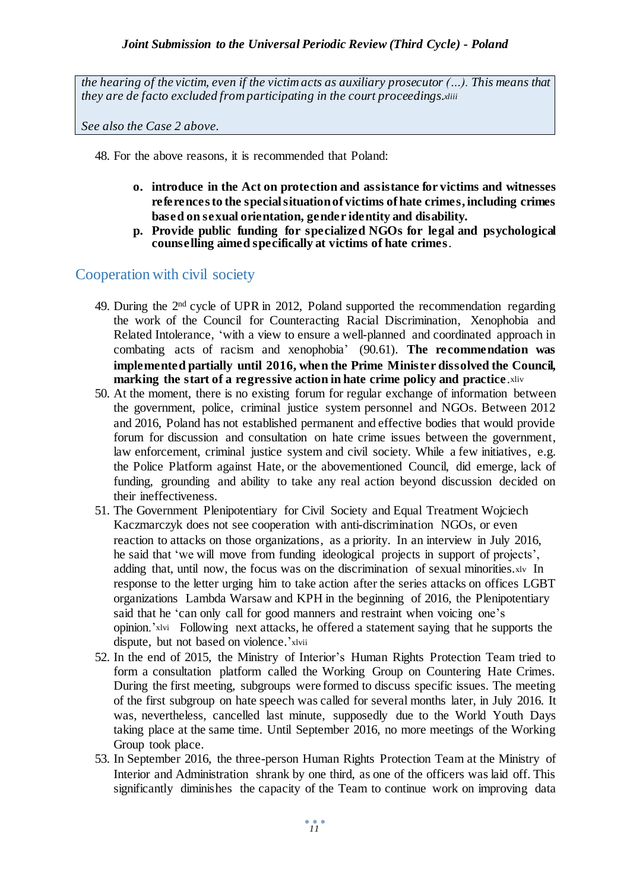*the hearing of the victim, even if the victim acts as auxiliary prosecutor (…). This means that they are de facto excluded from participating in the court proceedings.xliii*

*See also the Case 2 above.*

48. For the above reasons, it is recommended that Poland:

- **o. introduce in the Act on protection and assistance for victims and witnesses referencesto the specialsituationof victims ofhate crimes, including crimes based on sexual orientation, gender identity and disability.**
- **p. Provide public funding for specialized NGOs for legal and psychological counselling aimed specifically at victims of hate crimes**.

### Cooperation with civil society

- 49. During the 2<sup>nd</sup> cycle of UPR in 2012, Poland supported the recommendation regarding the work of the Council for Counteracting Racial Discrimination, Xenophobia and Related Intolerance, 'with a view to ensure a well-planned and coordinated approach in combating acts of racism and xenophobia' (90.61). **The recommendation was implemented partially until 2016, when the Prime Minister dissolved the Council, marking the start of a regressive action in hate crime policy and practice**.xliv
- 50. At the moment, there is no existing forum for regular exchange of information between the government, police, criminal justice system personnel and NGOs. Between 2012 and 2016, Poland has not established permanent and effective bodies that would provide forum for discussion and consultation on hate crime issues between the government, law enforcement, criminal justice system and civil society. While a few initiatives, e.g. the Police Platform against Hate, or the abovementioned Council, did emerge, lack of funding, grounding and ability to take any real action beyond discussion decided on their ineffectiveness.
- 51. The Government Plenipotentiary for Civil Society and Equal Treatment Wojciech Kaczmarczyk does not see cooperation with anti-discrimination NGOs, or even reaction to attacks on those organizations, as a priority. In an interview in July 2016, he said that 'we will move from funding ideological projects in support of projects', adding that, until now, the focus was on the discrimination of sexual minorities.xlv In response to the letter urging him to take action after the series attacks on offices LGBT organizations Lambda Warsaw and KPH in the beginning of 2016, the Plenipotentiary said that he 'can only call for good manners and restraint when voicing one's opinion.'xlvi Following next attacks, he offered a statement saying that he supports the dispute, but not based on violence.'xlvii
- 52. In the end of 2015, the Ministry of Interior's Human Rights Protection Team tried to form a consultation platform called the Working Group on Countering Hate Crimes. During the first meeting, subgroups were formed to discuss specific issues. The meeting of the first subgroup on hate speech was called for several months later, in July 2016. It was, nevertheless, cancelled last minute, supposedly due to the World Youth Days taking place at the same time. Until September 2016, no more meetings of the Working Group took place.
- 53. In September 2016, the three-person Human Rights Protection Team at the Ministry of Interior and Administration shrank by one third, as one of the officers was laid off. This significantly diminishes the capacity of the Team to continue work on improving data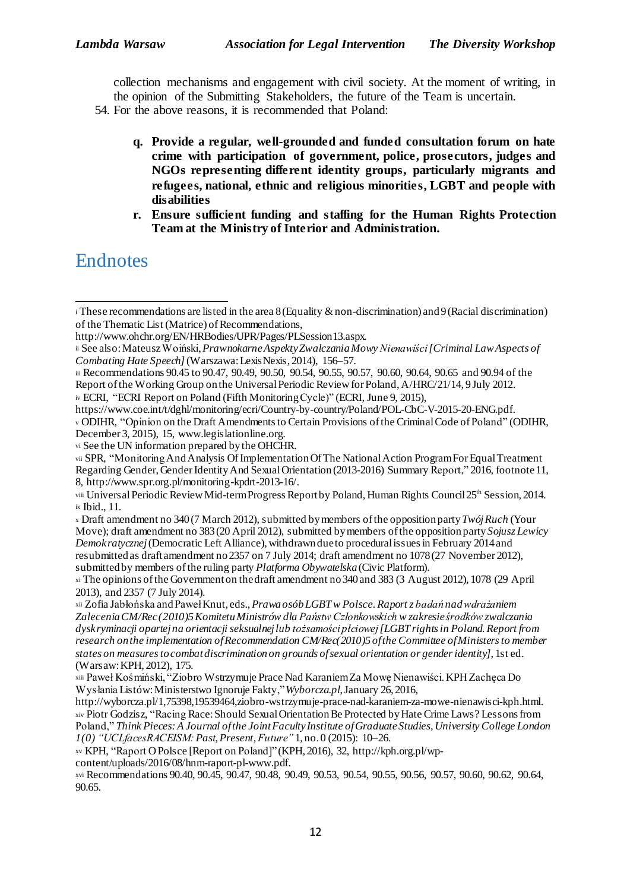collection mechanisms and engagement with civil society. At the moment of writing, in the opinion of the Submitting Stakeholders, the future of the Team is uncertain.

- 54. For the above reasons, it is recommended that Poland:
	- **q. Provide a regular, well-grounded and funded consultation forum on hate crime with participation of government, police, prosecutors, judges and NGOs representing different identity groups, particularly migrants and refugees, national, ethnic and religious minorities, LGBT and people with disabilities**
	- **r. Ensure sufficient funding and staffing for the Human Rights Protection Team at the Ministry of Interior and Administration.**

# **Endnotes**

<sup>x</sup> Draft amendment no 340(7 March 2012), submitted bymembers ofthe oppositionparty*TwójRuch* (Your Move); draft amendment no 383(20 April 2012), submitted bymembers ofthe oppositionparty*Sojusz Lewicy Demokratycznej*(Democratic Left Alliance), withdrawndueto proceduralissuesin February 2014and resubmitted as draftamendment no2357 on 7 July 2014; draft amendment no 1078(27 November 2012), submitted by members ofthe ruling party *Platforma Obywatelska* (Civic Platform).

xii Zofia Jabłońska andPawełKnut, eds.,*PrawaosóbLGBTw Polsce.Raportz badańnadwdrażaniem ZaleceniaCM/Rec(2010)5KomitetuMinistrów dla Państw Członkowskich w zakresieśrodków zwalczania dyskryminacji opartejna orientacjiseksualnejlub tożsamościpłciowej[LGBT rightsin Poland.Report from research onthe implementation ofRecommendation CM/Rec(2010)5 ofthe Committee ofMinistersto member states on measurestocombatdiscrimination on grounds ofsexual orientation or genderidentity]*, 1st ed. (Warsaw:KPH, 2012), 175.

 $\mathbf{i}$  These recommendations are listed in the area 8 (Equality & non-discrimination) and 9 (Racial discrimination) of the Thematic List (Matrice) of Recommendations, -

http://www.ohchr.org/EN/HRBodies/UPR/Pages/PLSession13.aspx.

ii See also:MateuszWoiński,*PrawnokarneAspektyZwalczaniaMowy Nienawiści[Criminal LawAspects of Combating Hate Speech]*(Warszawa:LexisNexis, 2014), 156–57.

iii Recommendations 90.45 to 90.47, 90.49, 90.50, 90.54, 90.55, 90.57, 90.60, 90.64, 90.65 and 90.94 of the Report of the Working Group on the Universal Periodic Review for Poland, A/HRC/21/14, 9July 2012. iv ECRI, "ECRI Report on Poland (Fifth MonitoringCycle)" (ECRI, June 9, 2015),

https://www.coe.int/t/dghl/monitoring/ecri/Country-by-country/Poland/POL-CbC-V-2015-20-ENG.pdf. v ODIHR, "Opinion on the Draft Amendments to Certain Provisions of the Criminal Code of Poland" (ODIHR, December 3, 2015), 15, www.legislationline.org.

vi See the UN information prepared bythe OHCHR.

vii SPR, "MonitoringAndAnalysis OfImplementationOfThe NationalAction ProgramForEqualTreatment Regarding Gender,GenderIdentityAnd SexualOrientation (2013-2016) Summary Report," 2016, footnote11, 8, http://www.spr.org.pl/monitoring-kpdrt-2013-16/.

viii Universal Periodic Review Mid-term Progress Report by Poland, Human Rights Council 25<sup>th</sup> Session, 2014. ix Ibid., 11.

xi The opinions ofthe Governmenton thedraft amendment no340and 383 (3 August 2012), 1078 (29 April 2013), and 2357 (7 July 2014).

xiii Paweł Kośmiński, "Ziobro Wstrzymuje Prace Nad KaraniemZa Mowę Nienawiści.KPHZachęca Do Wysłania Listów:Ministerstwo Ignoruje Fakty,"*Wyborcza.pl*,January 26, 2016,

http://wyborcza.pl/1,75398,19539464,ziobro-wstrzymuje-prace-nad-karaniem-za-mowe-nienawisci-kph.html. xiv Piotr Godzisz, "Racing Race:Should SexualOrientationBe Protected byHate Crime Laws? Lessonsfrom Poland," *Think Pieces:A Journal ofthe JointFacultyInstitute ofGraduateStudies,University College London 1(0) "UCLfacesRACEISM:Past,Present,Future"* 1, no. 0 (2015): 10–26.

xv KPH, "Raport OPolsce [Report on Poland]"(KPH, 2016), 32, http://kph.org.pl/wp-

content/uploads/2016/08/hnm-raport-pl-www.pdf.

xvi Recommendations 90.40, 90.45, 90.47, 90.48, 90.49, 90.53, 90.54, 90.55, 90.56, 90.57, 90.60, 90.62, 90.64, 90.65.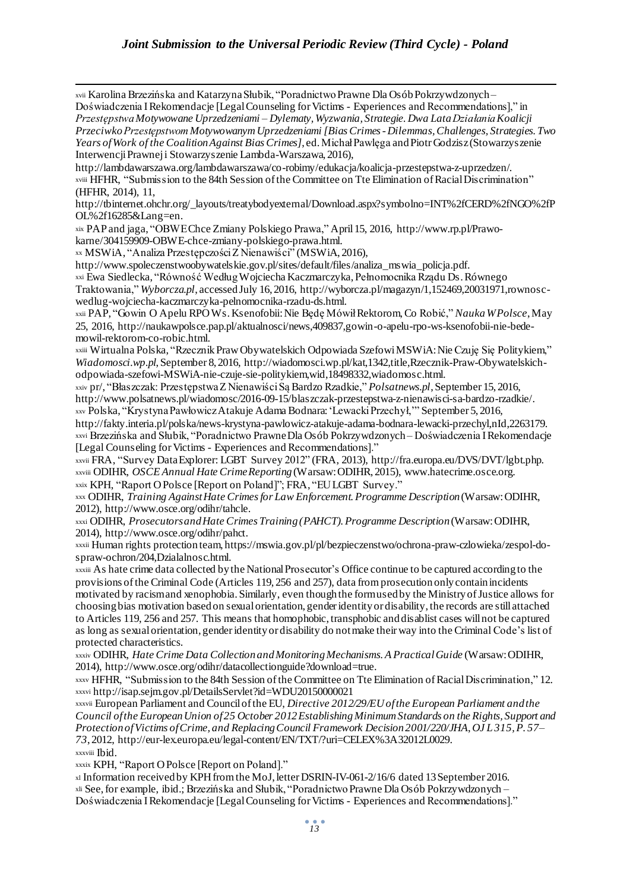xvii Karolina Brzezińska and KatarzynaSłubik, "PoradnictwoPrawne Dla OsóbPokrzywdzonych – Doświadczenia I Rekomendacje [Legal Counseling for Victims - Experiences and Recommendations]," in *PrzestępstwaMotywowane Uprzedzeniami – Dylematy, Wyzwania, Strategie. Dwa LataDziałaniaKoalicji PrzeciwkoPrzestępstwomMotywowanymUprzedzeniami[BiasCrimes-Dilemmas,Challenges, Strategies. Two Years ofWork of the CoalitionAgainst BiasCrimes]*, ed.MichałPawlęga andPiotrGodzisz(Stowarzyszenie InterwencjiPrawneji Stowarzyszenie Lambda-Warszawa, 2016),

http://lambdawarszawa.org/lambdawarszawa/co-robimy/edukacja/koalicja-przestepstwa-z-uprzedzen/. xviii HFHR, "Submission to the 84th Session of the Committee on Tte Elimination of Racial Discrimination" (HFHR, 2014), 11,

http://tbinternet.ohchr.org/\_layouts/treatybodyexternal/Download.aspx?symbolno=INT%2fCERD%2fNGO%2fP OL%2f16285&Lang=en.

xix PAP and jaga, "OBWEChce Zmiany Polskiego Prawa," April15, 2016, http://www.rp.pl/Prawokarne/304159909-OBWE-chce-zmiany-polskiego-prawa.html.

xx MSWiA, "Analiza PrzestępczościZ Nienawiści" (MSWiA, 2016),

http://www.spoleczenstwoobywatelskie.gov.pl/sites/default/files/analiza\_mswia\_policja.pdf.

xxi Ewa Siedlecka, "Równość WedługWojciecha Kaczmarczyka, Pełnomocnika Rządu Ds.Równego

Traktowania," *Wyborcza.pl*, accessedJuly 16, 2016, http://wyborcza.pl/magazyn/1,152469,20031971,rownoscwedlug-wojciecha-kaczmarczyka-pelnomocnika-rzadu-ds.html.

xxii PAP, "Gowin O Apelu RPOWs.Ksenofobii:Nie Będę MówiłRektorom,Co Robić," *NaukaWPolsce*,May 25, 2016, http://naukawpolsce.pap.pl/aktualnosci/news,409837,gowin-o-apelu-rpo-ws-ksenofobii-nie-bedemowil-rektorom-co-robic.html.

xxiii Wirtualna Polska, "RzecznikPrawObywatelskich Odpowiada SzefowiMSWiA:Nie Czuję Się Politykiem," *Wiadomosci.wp.pl*,September 8, 2016, http://wiadomosci.wp.pl/kat,1342,title,Rzecznik-Praw-Obywatelskichodpowiada-szefowi-MSWiA-nie-czuje-sie-politykiem,wid,18498332,wiadomosc.html.

xxiv pr/, "Błaszczak: PrzestępstwaZ NienawiściSą Bardzo Rzadkie," *Polsatnews.pl*,September 15, 2016, http://www.polsatnews.pl/wiadomosc/2016-09-15/blaszczak-przestepstwa-z-nienawisci-sa-bardzo-rzadkie/. xxv Polska, "KrystynaPawłowiczAtakuje Adama Bodnara:'LewackiPrzechył,'" September 5, 2016,

http://fakty.interia.pl/polska/news-krystyna-pawlowicz-atakuje-adama-bodnara-lewacki-przechyl,nId,2263179. xxvi Brzezińska and Słubik, "Poradnictwo PrawneDla Osób Pokrzywdzonych – Doświadczenia IRekomendacje [Legal Counseling for Victims - Experiences and Recommendations]."

xxvii FRA, "Survey DataExplorer: LGBT Survey 2012" (FRA, 2013), http://fra.europa.eu/DVS/DVT/lgbt.php. xxviii ODIHR, *OSCE Annual Hate CrimeReporting*(Warsaw:ODIHR, 2015), www.hatecrime.osce.org. xxix KPH, "Raport OPolsce [Report on Poland]"; FRA, "EULGBT Survey."

xxx ODIHR, *Training AgainstHate Crimesfor Law Enforcement.Programme Description*(Warsaw:ODIHR, 2012), http://www.osce.org/odihr/tahcle.

xxxi ODIHR, *ProsecutorsandHate Crimes Training(PAHCT).Programme Description*(Warsaw:ODIHR, 2014), http://www.osce.org/odihr/pahct.

xxxii Human rights protectionteam, https://mswia.gov.pl/pl/bezpieczenstwo/ochrona-praw-czlowieka/zespol-dospraw-ochron/204,Dzialalnosc.html.

xxxiii As hate crime data collected by the National Prosecutor's Office continue to be captured according to the provisions ofthe Criminal Code (Articles 119, 256 and 257), data fromprosecution onlycontainincidents motivated by racismand xenophobia. Similarly, even thoughthe formusedby the MinistryofJustice allows for choosing bias motivation basedon sexualorientation, genderidentityor disability, the records are stillattached to Articles 119, 256 and 257. This means that homophobic, transphobic anddisablist cases willnot be captured as long as sexualorientation, genderidentityor disability do notmake theirway into the Criminal Code's list of protected characteristics.

xxxiv ODIHR, *Hate Crime Data CollectionandMonitoringMechanisms.A PracticalGuide* (Warsaw:ODIHR, 2014), http://www.osce.org/odihr/datacollectionguide?download=true.

xxxv HFHR, "Submission to the 84th Session ofthe Committee on Tte Elimination ofRacialDiscrimination," 12. xxxvi http://isap.sejm.gov.pl/DetailsServlet?id=WDU20150000021

xxxvii European Parliament and Councilofthe EU, *Directive 2012/29/EUofthe European Parliament andthe Council ofthe EuropeanUnion of25 October 2012EstablishingMinimumStandards on the Rights, Support and Protection ofVictims ofCrime, and ReplacingCouncil Framework Decision2001/220/JHA*,*OJ L315,P. 57– 73*, 2012, http://eur-lex.europa.eu/legal-content/EN/TXT/?uri=CELEX%3A32012L0029. xxxviii Ibid.

xxxix KPH, "Raport OPolsce [Report on Poland]."

xl Information receivedby KPHfromthe MoJ,letterDSRIN-IV-061-2/16/6 dated 13September 2016. xli See,for example, ibid.; Brzezińska and Słubik, "PoradnictwoPrawne Dla Osób Pokrzywdzonych – Doświadczenia I Rekomendacje [Legal Counseling for Victims - Experiences and Recommendations]."